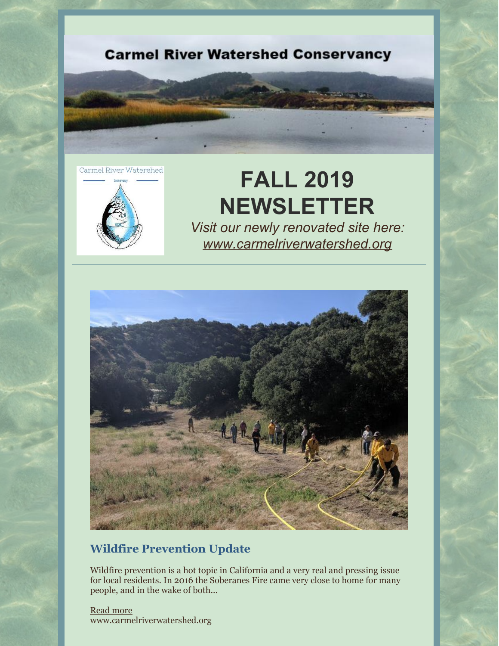

Carmel River Watershed



# **FALL 2019 NEWSLETTER**

*Visit our newly renovated site here: [www.carmelriverwatershed.org](http://www.carmelriverwatershed.org)*



## **Wildfire Prevention Update**

Wildfire prevention is a hot topic in California and a very real and pressing issue for local residents. In 2016 the Soberanes Fire came very close to home for many people, and in the wake of both...

[Read](http://www.carmelriverwatershed.org/latest-news/wildfire-prevention-update) more www.carmelriverwatershed.org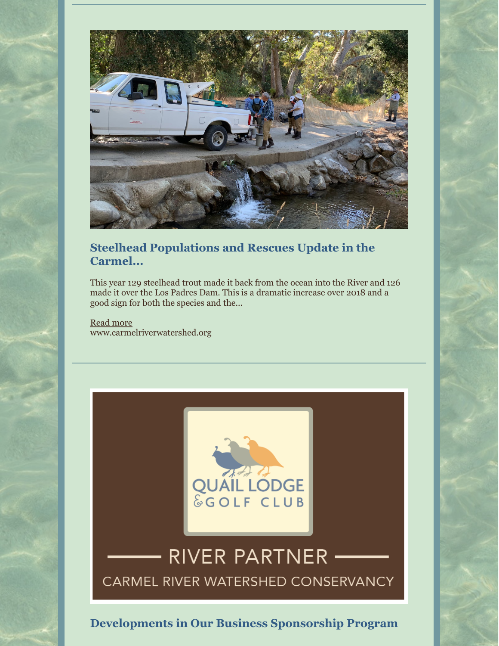

#### **Steelhead Populations and Rescues Update in the Carmel...**

This year 129 steelhead trout made it back from the ocean into the River and 126 made it over the Los Padres Dam. This is a dramatic increase over 2018 and a good sign for both the species and the...

[Read](http://www.carmelriverwatershed.org/latest-news/steelhead-populations-and-rescues-update-in-the-carmel-river-for-2019) more www.carmelriverwatershed.org



# RIVER PARTNER CARMEL RIVER WATERSHED CONSERVANCY

**Developments in Our Business Sponsorship Program**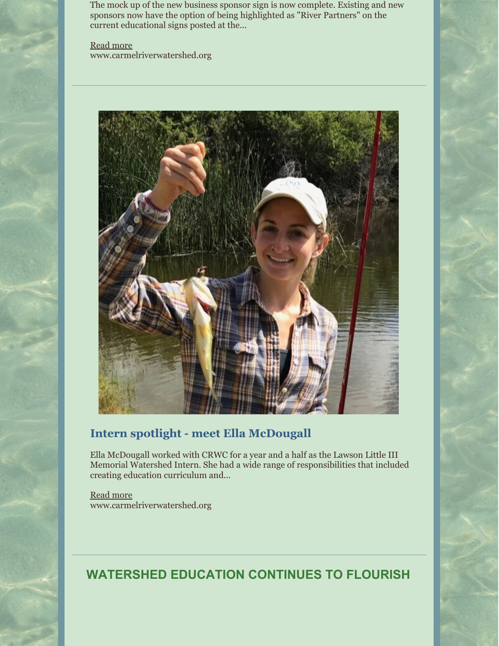The mock up of the new business sponsor sign is now complete. Existing and new sponsors now have the option of being highlighted as "River Partners" on the current educational signs posted at the...

[Read](http://www.carmelriverwatershed.org/latest-news/developments-in-our-business-sponsorship-program) more www.carmelriverwatershed.org



### **Intern spotlight - meet Ella McDougall**

Ella McDougall worked with CRWC for a year and a half as the Lawson Little III Memorial Watershed Intern. She had a wide range of responsibilities that included creating education curriculum and...

[Read](http://www.carmelriverwatershed.org/latest-news/intern-spotlight-meet-ella-mcdougall) more www.carmelriverwatershed.org

**WATERSHED EDUCATION CONTINUES TO FLOURISH**